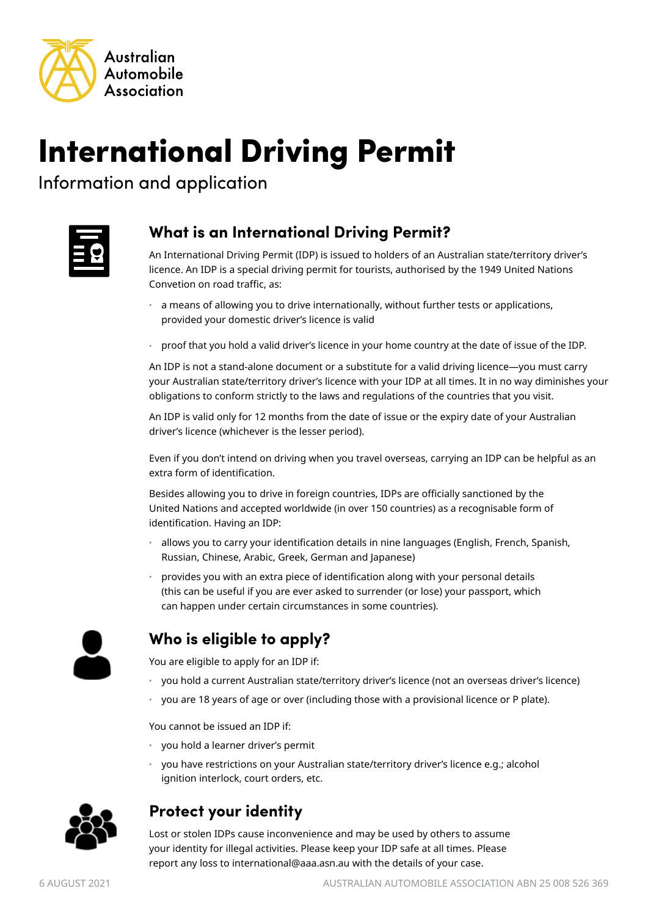

# International Driving Permit

Information and application



# **What is an International Driving Permit?**

An International Driving Permit (IDP) is issued to holders of an Australian state/territory driver's licence. An IDP is a special driving permit for tourists, authorised by the 1949 United Nations Convetion on road traffic, as:

- a means of allowing you to drive internationally, without further tests or applications, provided your domestic driver's licence is valid
- proof that you hold a valid driver's licence in your home country at the date of issue of the IDP.

An IDP is not a stand-alone document or a substitute for a valid driving licence—you must carry your Australian state/territory driver's licence with your IDP at all times. It in no way diminishes your obligations to conform strictly to the laws and regulations of the countries that you visit.

An IDP is valid only for 12 months from the date of issue or the expiry date of your Australian driver's licence (whichever is the lesser period).

Even if you don't intend on driving when you travel overseas, carrying an IDP can be helpful as an extra form of identification.

Besides allowing you to drive in foreign countries, IDPs are officially sanctioned by the United Nations and accepted worldwide (in over 150 countries) as a recognisable form of identification. Having an IDP:

- allows you to carry your identification details in nine languages (English, French, Spanish, Russian, Chinese, Arabic, Greek, German and Japanese)
- provides you with an extra piece of identification along with your personal details (this can be useful if you are ever asked to surrender (or lose) your passport, which can happen under certain circumstances in some countries).



## **Who is eligible to apply?**

You are eligible to apply for an IDP if:

- you hold a current Australian state/territory driver's licence (not an overseas driver's licence)
- you are 18 years of age or over (including those with a provisional licence or P plate).

You cannot be issued an IDP if:

- you hold a learner driver's permit
- you have restrictions on your Australian state/territory driver's licence e.g.; alcohol ignition interlock, court orders, etc.



## **Protect your identity**

Lost or stolen IDPs cause inconvenience and may be used by others to assume your identity for illegal activities. Please keep your IDP safe at all times. Please report any loss to international@aaa.asn.au with the details of your case.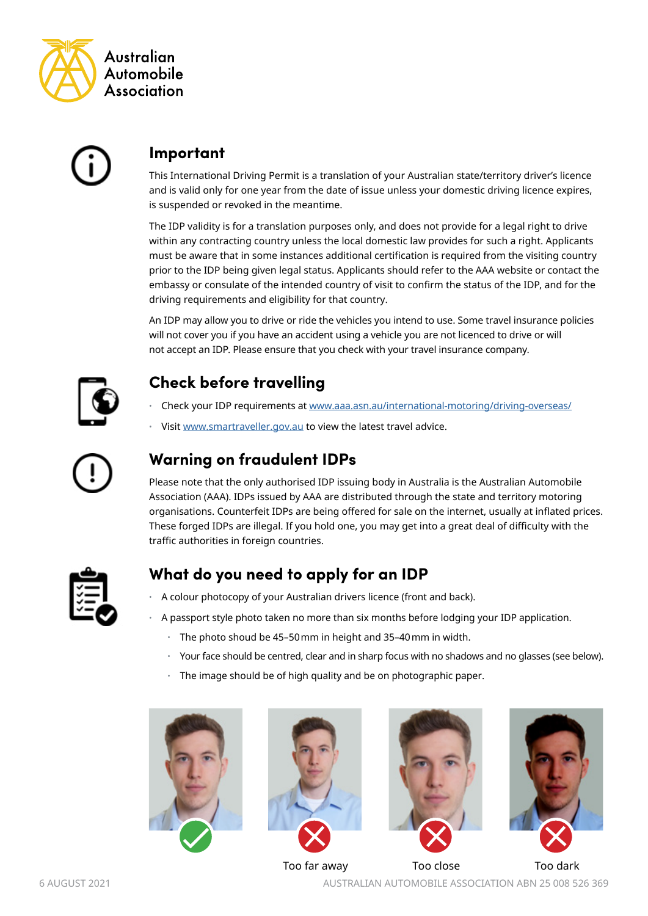



#### **Important**

This International Driving Permit is a translation of your Australian state/territory driver's licence and is valid only for one year from the date of issue unless your domestic driving licence expires, is suspended or revoked in the meantime.

The IDP validity is for a translation purposes only, and does not provide for a legal right to drive within any contracting country unless the local domestic law provides for such a right. Applicants must be aware that in some instances additional certification is required from the visiting country prior to the IDP being given legal status. Applicants should refer to the AAA website or contact the embassy or consulate of the intended country of visit to confirm the status of the IDP, and for the driving requirements and eligibility for that country.

An IDP may allow you to drive or ride the vehicles you intend to use. Some travel insurance policies will not cover you if you have an accident using a vehicle you are not licenced to drive or will not accept an IDP. Please ensure that you check with your travel insurance company.



# **Check before travelling**

- Check your IDP requirements at www.aaa.asn.au/international-motoring/driving-overseas/
- Visit [www.smartraveller.gov.au](http://www.smartraveller.gov.au) to view the latest travel advice.



# **Warning on fraudulent IDPs**

Please note that the only authorised IDP issuing body in Australia is the Australian Automobile Association (AAA). IDPs issued by AAA are distributed through the state and territory motoring organisations. Counterfeit IDPs are being offered for sale on the internet, usually at inflated prices. These forged IDPs are illegal. If you hold one, you may get into a great deal of difficulty with the traffic authorities in foreign countries.



## **What do you need to apply for an IDP**

- A colour photocopy of your Australian drivers licence (front and back).
- A passport style photo taken no more than six months before lodging your IDP application.
	- The photo shoud be 45–50mm in height and 35–40mm in width.
	- Your face should be centred, clear and in sharp focus with no shadows and no glasses (see below).
	- The image should be of high quality and be on photographic paper.





![](_page_1_Picture_22.jpeg)

![](_page_1_Picture_23.jpeg)

Too far away Too close Too dark

6 AUGUST 2021 AUSTRALIAN AUTOMOBILE ASSOCIATION ABN 25 008 526 369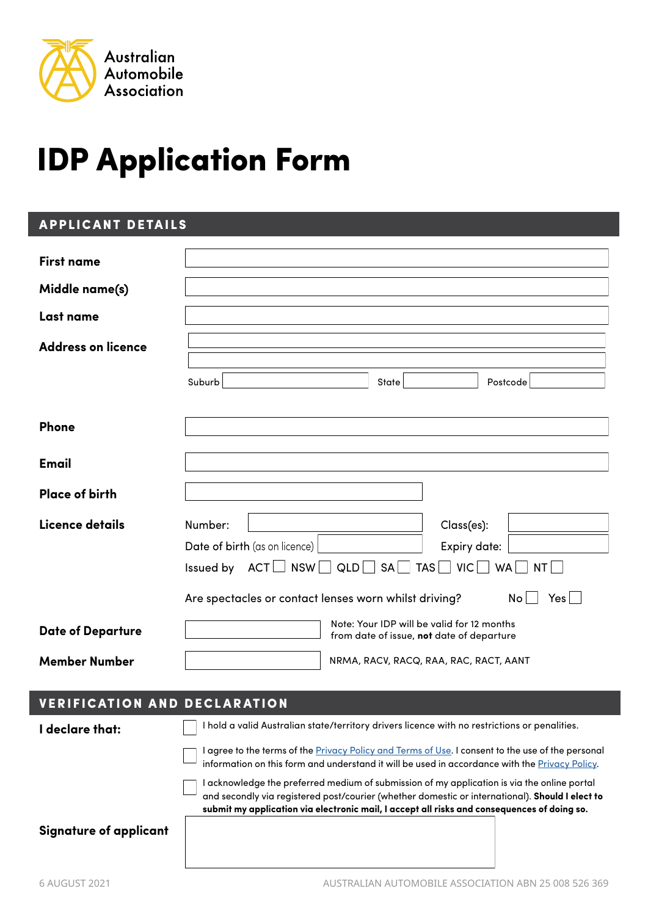![](_page_2_Picture_0.jpeg)

# IDP Application Form

#### APPLICANT DETAILS

| <b>First name</b>         |                                                                                                                                                 |
|---------------------------|-------------------------------------------------------------------------------------------------------------------------------------------------|
|                           |                                                                                                                                                 |
| Middle name(s)            |                                                                                                                                                 |
| Last name                 |                                                                                                                                                 |
| <b>Address on licence</b> |                                                                                                                                                 |
|                           | Suburb<br>Postcode<br>State                                                                                                                     |
| Phone                     |                                                                                                                                                 |
| <b>Email</b>              |                                                                                                                                                 |
| <b>Place of birth</b>     |                                                                                                                                                 |
| Licence details           | Number:<br>Class(es):<br>Date of birth (as on licence)<br>Expiry date:<br>Issued by $ACT$ NSW $QLD$ SA<br>$TAS \Box$ VIC $\Box$ WA<br><b>NT</b> |
|                           | Are spectacles or contact lenses worn whilst driving?<br>No<br>Yes                                                                              |
| <b>Date of Departure</b>  | Note: Your IDP will be valid for 12 months<br>from date of issue, not date of departure                                                         |
| <b>Member Number</b>      | NRMA, RACV, RACQ, RAA, RAC, RACT, AANT                                                                                                          |

## VERIFICATION AND DECLARATION

**I declare that:**

I hold a valid Australian state/territory drivers licence with no restrictions or penalities.

I agree to the terms of the *Privacy Policy and Terms of Use*. I consent to the use of the personal information on this form and understand it will be used in accordance with the [Privacy Policy](https://www.aaa.asn.au/wp-content/uploads/2019/05/IDP-Terms-and-Conditions-Privacy-Policy-May-2019.pdf).

I acknowledge the preferred medium of submission of my application is via the online portal and secondly via registered post/courier (whether domestic or international). **Should I elect to submit my application via electronic mail, I accept all risks and consequences of doing so.**

**Signature of applicant**